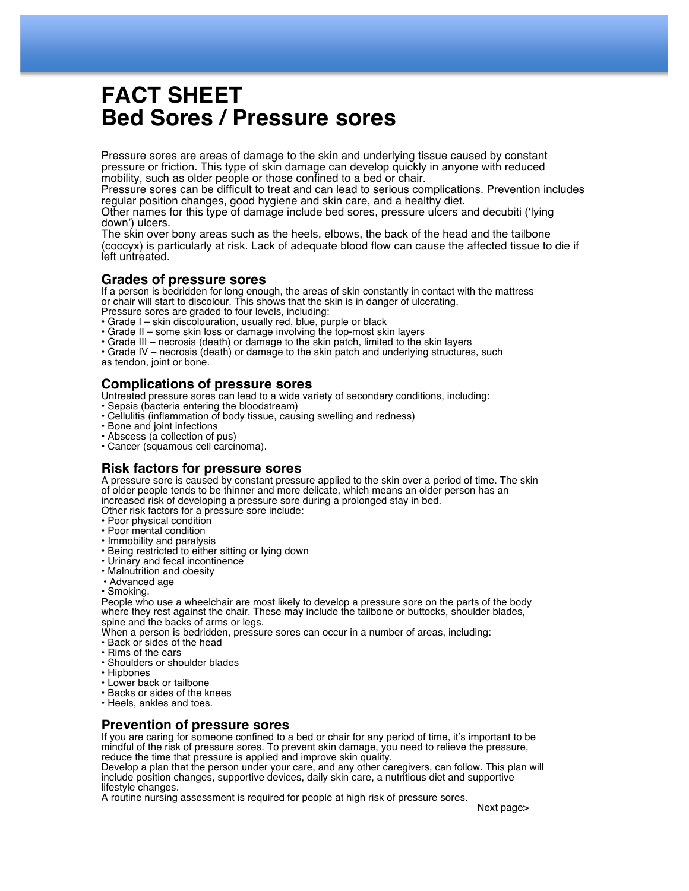# **FACT SHEET Bed Sores / Pressure sores**

Pressure sores are areas of damage to the skin and underlying tissue caused by constant pressure or friction. This type of skin damage can develop quickly in anyone with reduced mobility, such as older people or those confined to a bed or chair.

Pressure sores can be difficult to treat and can lead to serious complications. Prevention includes regular position changes, good hygiene and skin care, and a healthy diet.

Other names for this type of damage include bed sores, pressure ulcers and decubiti ('lying down') ulcers.

The skin over bony areas such as the heels, elbows, the back of the head and the tailbone (coccyx) is particularly at risk. Lack of adequate blood flow can cause the affected tissue to die if left untreated.

#### **Grades of pressure sores**

If a person is bedridden for long enough, the areas of skin constantly in contact with the mattress or chair will start to discolour. This shows that the skin is in danger of ulcerating. Pressure sores are graded to four levels, including:

• Grade I – skin discolouration, usually red, blue, purple or black

• Grade II – some skin loss or damage involving the top-most skin layers

• Grade III – necrosis (death) or damage to the skin patch, limited to the skin layers

• Grade IV – necrosis (death) or damage to the skin patch and underlying structures, such as tendon, joint or bone.

## **Complications of pressure sores**

Untreated pressure sores can lead to a wide variety of secondary conditions, including:

- Sepsis (bacteria entering the bloodstream)
- Cellulitis (inflammation of body tissue, causing swelling and redness)
- Bone and joint infections
- Abscess (a collection of pus)
- Cancer (squamous cell carcinoma).

# **Risk factors for pressure sores**

A pressure sore is caused by constant pressure applied to the skin over a period of time. The skin of older people tends to be thinner and more delicate, which means an older person has an increased risk of developing a pressure sore during a prolonged stay in bed.

Other risk factors for a pressure sore include:

- Poor physical condition
- Poor mental condition
- Immobility and paralysis
- Being restricted to either sitting or lying down
- Urinary and fecal incontinence
- Malnutrition and obesity
- Advanced age

• Smoking.

People who use a wheelchair are most likely to develop a pressure sore on the parts of the body where they rest against the chair. These may include the tailbone or buttocks, shoulder blades, spine and the backs of arms or legs.

When a person is bedridden, pressure sores can occur in a number of areas, including:

- Back or sides of the head
- Rims of the ears
- Shoulders or shoulder blades
- Hipbones
- Lower back or tailbone
- Backs or sides of the knees
- Heels, ankles and toes.

#### **Prevention of pressure sores**

If you are caring for someone confined to a bed or chair for any period of time, it's important to be mindful of the risk of pressure sores. To prevent skin damage, you need to relieve the pressure, reduce the time that pressure is applied and improve skin quality.

Develop a plan that the person under your care, and any other caregivers, can follow. This plan will include position changes, supportive devices, daily skin care, a nutritious diet and supportive lifestyle changes.

A routine nursing assessment is required for people at high risk of pressure sores.

Next page>